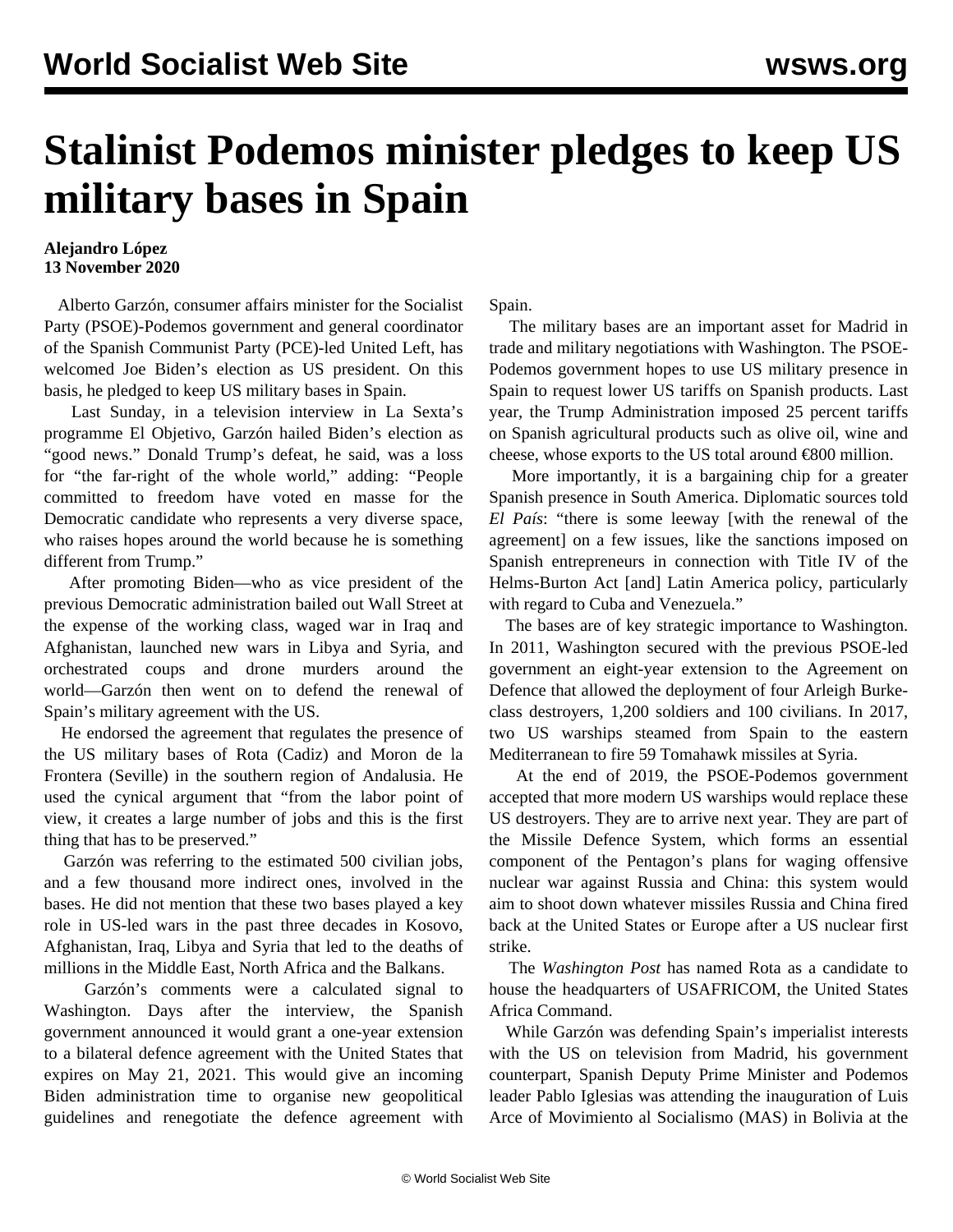## **Stalinist Podemos minister pledges to keep US military bases in Spain**

## **Alejandro López 13 November 2020**

 Alberto Garzón, consumer affairs minister for the Socialist Party (PSOE)-Podemos government and general coordinator of the Spanish Communist Party (PCE)-led United Left, has welcomed Joe Biden's election as US president. On this basis, he pledged to keep US military bases in Spain.

 Last Sunday, in a television interview in La Sexta's programme El Objetivo, Garzón hailed Biden's election as "good news." Donald Trump's defeat, he said, was a loss for "the far-right of the whole world," adding: "People committed to freedom have voted en masse for the Democratic candidate who represents a very diverse space, who raises hopes around the world because he is something different from Trump."

 After promoting Biden—who as vice president of the previous Democratic administration bailed out Wall Street at the expense of the working class, waged war in Iraq and Afghanistan, launched new wars in Libya and Syria, and orchestrated coups and drone murders around the world—Garzón then went on to defend the renewal of Spain's military agreement with the US.

 He endorsed the agreement that regulates the presence of the US military bases of Rota (Cadiz) and Moron de la Frontera (Seville) in the southern region of Andalusia. He used the cynical argument that "from the labor point of view, it creates a large number of jobs and this is the first thing that has to be preserved."

 Garzón was referring to the estimated 500 civilian jobs, and a few thousand more indirect ones, involved in the bases. He did not mention that these two bases played a key role in US-led wars in the past three decades in Kosovo, Afghanistan, Iraq, Libya and Syria that led to the deaths of millions in the Middle East, North Africa and the Balkans.

 Garzón's comments were a calculated signal to Washington. Days after the interview, the Spanish government announced it would grant a one-year extension to a bilateral defence agreement with the United States that expires on May 21, 2021. This would give an incoming Biden administration time to organise new geopolitical guidelines and renegotiate the defence agreement with Spain.

 The military bases are an important asset for Madrid in trade and military negotiations with Washington. The PSOE-Podemos government hopes to use US military presence in Spain to request lower US tariffs on Spanish products. Last year, the Trump Administration imposed 25 percent tariffs on Spanish agricultural products such as olive oil, wine and cheese, whose exports to the US total around  $\epsilon$ 800 million.

 More importantly, it is a bargaining chip for a greater Spanish presence in South America. Diplomatic sources told *El País*: "there is some leeway [with the renewal of the agreement] on a few issues, like the sanctions imposed on Spanish entrepreneurs in connection with Title IV of the Helms-Burton Act [and] Latin America policy, particularly with regard to Cuba and Venezuela."

 The bases are of key strategic importance to Washington. In 2011, Washington secured with the previous PSOE-led government an eight-year extension to the Agreement on Defence that allowed the deployment of four Arleigh Burkeclass destroyers, 1,200 soldiers and 100 civilians. In 2017, two US warships steamed from Spain to the eastern Mediterranean to fire 59 Tomahawk missiles at Syria.

 At the end of 2019, the PSOE-Podemos government accepted that more modern US warships would replace these US destroyers. They are to arrive next year. They are part of the Missile Defence System, which forms an essential component of the Pentagon's plans for waging offensive nuclear war against Russia and China: this system would aim to shoot down whatever missiles Russia and China fired back at the United States or Europe after a US nuclear first strike.

 The *Washington Post* has named Rota as a candidate to house the headquarters of USAFRICOM, the United States Africa Command.

 While Garzón was defending Spain's imperialist interests with the US on television from Madrid, his government counterpart, Spanish Deputy Prime Minister and Podemos leader Pablo Iglesias was attending the inauguration of Luis Arce of Movimiento al Socialismo (MAS) in Bolivia at the